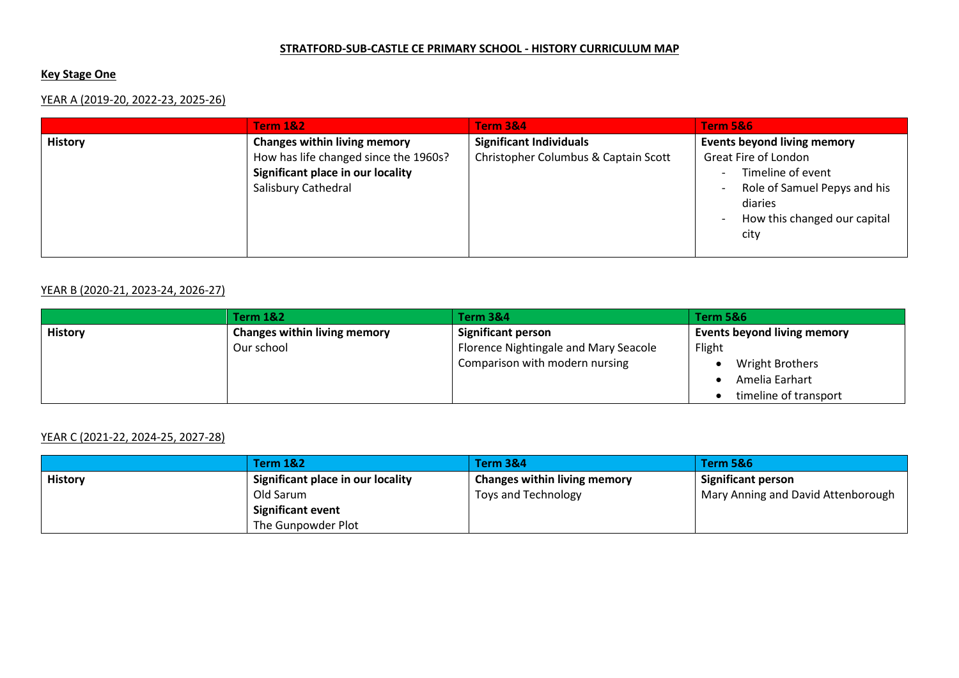#### **STRATFORD-SUB-CASTLE CE PRIMARY SCHOOL - HISTORY CURRICULUM MAP**

## **Key Stage One**

# YEAR A (2019-20, 2022-23, 2025-26)

|                | <b>Term 1&amp;2</b>                                                                                                                      | <b>Term 3&amp;4</b>                                                    | <b>Term 5&amp;6</b>                                                                                                                                                |
|----------------|------------------------------------------------------------------------------------------------------------------------------------------|------------------------------------------------------------------------|--------------------------------------------------------------------------------------------------------------------------------------------------------------------|
| <b>History</b> | <b>Changes within living memory</b><br>How has life changed since the 1960s?<br>Significant place in our locality<br>Salisbury Cathedral | <b>Significant Individuals</b><br>Christopher Columbus & Captain Scott | <b>Events beyond living memory</b><br>Great Fire of London<br>Timeline of event<br>Role of Samuel Pepys and his<br>diaries<br>How this changed our capital<br>city |
|                |                                                                                                                                          |                                                                        |                                                                                                                                                                    |

### YEAR B (2020-21, 2023-24, 2026-27)

|                | <b>Term 1&amp;2</b>                 | <b>Term 3&amp;4</b>                   | Term 5&6                           |
|----------------|-------------------------------------|---------------------------------------|------------------------------------|
| <b>History</b> | <b>Changes within living memory</b> | <b>Significant person</b>             | <b>Events beyond living memory</b> |
|                | Our school                          | Florence Nightingale and Mary Seacole | Flight                             |
|                |                                     | Comparison with modern nursing        | <b>Wright Brothers</b>             |
|                |                                     |                                       | Amelia Earhart                     |
|                |                                     |                                       | timeline of transport              |

### YEAR C (2021-22, 2024-25, 2027-28)

|                | <b>Term 1&amp;2</b>               | Term 3&4                            | <b>Term 5&amp;6</b>                |
|----------------|-----------------------------------|-------------------------------------|------------------------------------|
| <b>History</b> | Significant place in our locality | <b>Changes within living memory</b> | <b>Significant person</b>          |
|                | Old Sarum                         | Toys and Technology                 | Mary Anning and David Attenborough |
|                | <b>Significant event</b>          |                                     |                                    |
|                | The Gunpowder Plot                |                                     |                                    |